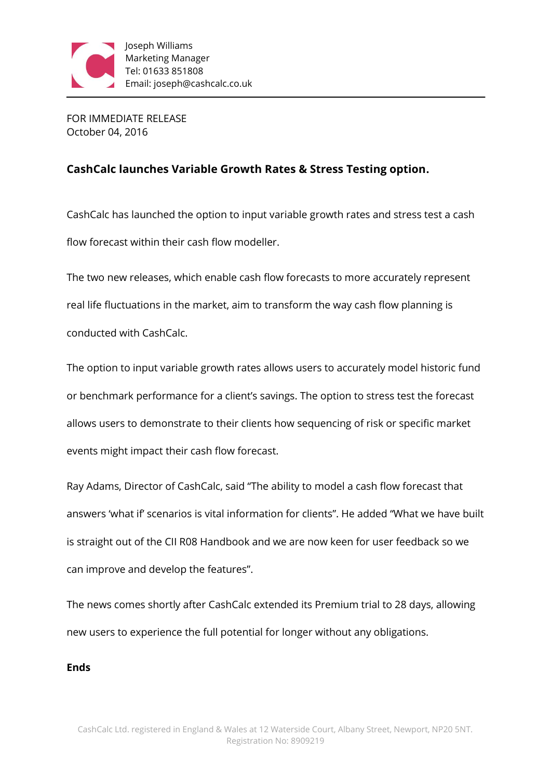

FOR IMMEDIATE RELEASE October 04, 2016

## **CashCalc launches Variable Growth Rates & Stress Testing option.**

CashCalc has launched the option to input variable growth rates and stress test a cash flow forecast within their cash flow modeller.

The two new releases, which enable cash flow forecasts to more accurately represent real life fluctuations in the market, aim to transform the way cash flow planning is conducted with CashCalc.

The option to input variable growth rates allows users to accurately model historic fund or benchmark performance for a client's savings. The option to stress test the forecast allows users to demonstrate to their clients how sequencing of risk or specific market events might impact their cash flow forecast.

Ray Adams, Director of CashCalc, said "The ability to model a cash flow forecast that answers 'what if' scenarios is vital information for clients". He added "What we have built is straight out of the CII R08 Handbook and we are now keen for user feedback so we can improve and develop the features".

The news comes shortly after CashCalc extended its Premium trial to 28 days, allowing new users to experience the full potential for longer without any obligations.

## **Ends**